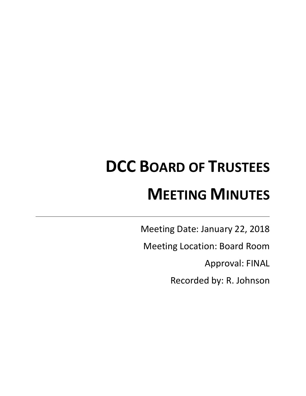# **DCC BOARD OF TRUSTEES MEETING MINUTES**

Meeting Date: January 22, 2018

Meeting Location: Board Room

Approval: FINAL

Recorded by: R. Johnson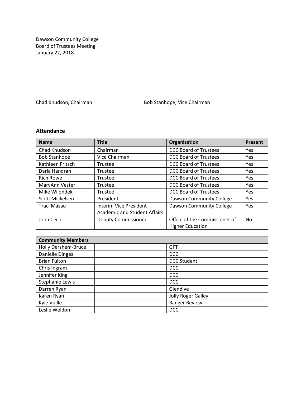Dawson Community College Board of Trustees Meeting January 22, 2018

Chad Knudson, Chairman **Bob Stanhope**, Vice Chairman

# **Attendance**

| <b>Name</b>                | <b>Title</b>                        | Organization                  | <b>Present</b> |
|----------------------------|-------------------------------------|-------------------------------|----------------|
| Chad Knudson               | Chairman                            | <b>DCC Board of Trustees</b>  | Yes            |
| <b>Bob Stanhope</b>        | Vice Chairman                       | <b>DCC Board of Trustees</b>  | Yes            |
| Kathleen Fritsch           | Trustee                             | <b>DCC Board of Trustees</b>  | Yes            |
| Darla Handran              | Trustee                             | <b>DCC Board of Trustees</b>  | Yes            |
| <b>Rich Rowe</b>           | Trustee                             | <b>DCC Board of Trustees</b>  | Yes            |
| MaryAnn Vester             | Trustee                             | <b>DCC Board of Trustees</b>  | Yes            |
| Mike Wilondek              | Trustee                             | <b>DCC Board of Trustees</b>  | Yes            |
| Scott Mickelsen            | President                           | Dawson Community College      | Yes            |
| <b>Traci Masau</b>         | Interim Vice President -            | Dawson Community College      | Yes            |
|                            | <b>Academic and Student Affairs</b> |                               |                |
| John Cech                  | <b>Deputy Commissioner</b>          | Office of the Commissioner of | <b>No</b>      |
|                            |                                     | <b>Higher Education</b>       |                |
|                            |                                     |                               |                |
| <b>Community Members</b>   |                                     |                               |                |
| <b>Holly Dershem-Bruce</b> |                                     | <b>GFT</b>                    |                |
| Danielle Dinges            |                                     | <b>DCC</b>                    |                |
| <b>Brian Fulton</b>        |                                     | <b>DCC Student</b>            |                |
| Chris Ingram               |                                     | <b>DCC</b>                    |                |
| Jennifer King              |                                     | <b>DCC</b>                    |                |
| Stephanie Lewis            |                                     | <b>DCC</b>                    |                |
| Darren Ryan                |                                     | Glendive                      |                |
| Karen Ryan                 |                                     | Jolly Roger Galley            |                |
| Kyle Vuille                |                                     | Ranger Review                 |                |
| Leslie Weldon              |                                     | <b>DCC</b>                    |                |

\_\_\_\_\_\_\_\_\_\_\_\_\_\_\_\_\_\_\_\_\_\_\_\_\_\_\_\_\_\_\_\_\_\_ \_\_\_\_\_\_\_\_\_\_\_\_\_\_\_\_\_\_\_\_\_\_\_\_\_\_\_\_\_\_\_\_\_\_\_\_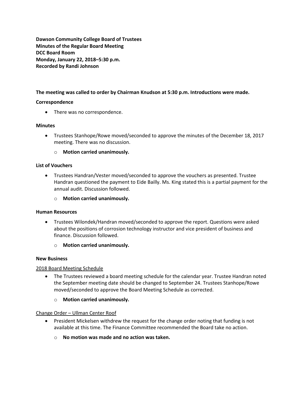**Dawson Community College Board of Trustees Minutes of the Regular Board Meeting DCC Board Room Monday, January 22, 2018–5:30 p.m. Recorded by Randi Johnson**

# **The meeting was called to order by Chairman Knudson at 5:30 p.m. Introductions were made.**

# **Correspondence**

• There was no correspondence.

# **Minutes**

 Trustees Stanhope/Rowe moved/seconded to approve the minutes of the December 18, 2017 meeting. There was no discussion.

o **Motion carried unanimously.**

# **List of Vouchers**

 Trustees Handran/Vester moved/seconded to approve the vouchers as presented. Trustee Handran questioned the payment to Eide Bailly. Ms. King stated this is a partial payment for the annual audit. Discussion followed.

o **Motion carried unanimously.**

# **Human Resources**

- Trustees Wilondek/Handran moved/seconded to approve the report. Questions were asked about the positions of corrosion technology instructor and vice president of business and finance. Discussion followed.
	- o **Motion carried unanimously.**

# **New Business**

# 2018 Board Meeting Schedule

- The Trustees reviewed a board meeting schedule for the calendar year. Trustee Handran noted the September meeting date should be changed to September 24. Trustees Stanhope/Rowe moved/seconded to approve the Board Meeting Schedule as corrected.
	- o **Motion carried unanimously.**

Change Order – Ullman Center Roof

- President Mickelsen withdrew the request for the change order noting that funding is not available at this time. The Finance Committee recommended the Board take no action.
	- o **No motion was made and no action was taken.**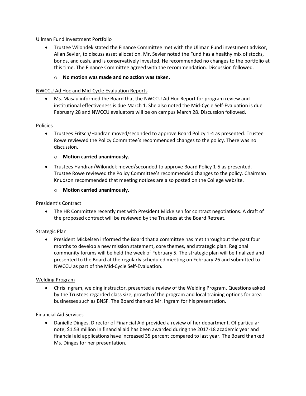# Ullman Fund Investment Portfolio

 Trustee Wilondek stated the Finance Committee met with the Ullman Fund investment advisor, Allan Sevier, to discuss asset allocation. Mr. Sevier noted the Fund has a healthy mix of stocks, bonds, and cash, and is conservatively invested. He recommended no changes to the portfolio at this time. The Finance Committee agreed with the recommendation. Discussion followed.

# o **No motion was made and no action was taken.**

# NWCCU Ad Hoc and Mid-Cycle Evaluation Reports

 Ms. Masau informed the Board that the NWCCU Ad Hoc Report for program review and institutional effectiveness is due March 1. She also noted the Mid-Cycle Self-Evaluation is due February 28 and NWCCU evaluators will be on campus March 28. Discussion followed.

# Policies

 Trustees Fritsch/Handran moved/seconded to approve Board Policy 1-4 as presented. Trustee Rowe reviewed the Policy Committee's recommended changes to the policy. There was no discussion.

# o **Motion carried unanimously.**

 Trustees Handran/Wilondek moved/seconded to approve Board Policy 1-5 as presented. Trustee Rowe reviewed the Policy Committee's recommended changes to the policy. Chairman Knudson recommended that meeting notices are also posted on the College website.

# o **Motion carried unanimously.**

# President's Contract

 The HR Committee recently met with President Mickelsen for contract negotiations. A draft of the proposed contract will be reviewed by the Trustees at the Board Retreat.

# Strategic Plan

 President Mickelsen informed the Board that a committee has met throughout the past four months to develop a new mission statement, core themes, and strategic plan. Regional community forums will be held the week of February 5. The strategic plan will be finalized and presented to the Board at the regularly scheduled meeting on February 26 and submitted to NWCCU as part of the Mid-Cycle Self-Evaluation.

# Welding Program

 Chris Ingram, welding instructor, presented a review of the Welding Program. Questions asked by the Trustees regarded class size, growth of the program and local training options for area businesses such as BNSF. The Board thanked Mr. Ingram for his presentation.

# Financial Aid Services

 Danielle Dinges, Director of Financial Aid provided a review of her department. Of particular note, \$1.53 million in financial aid has been awarded during the 2017-18 academic year and financial aid applications have increased 35 percent compared to last year. The Board thanked Ms. Dinges for her presentation.